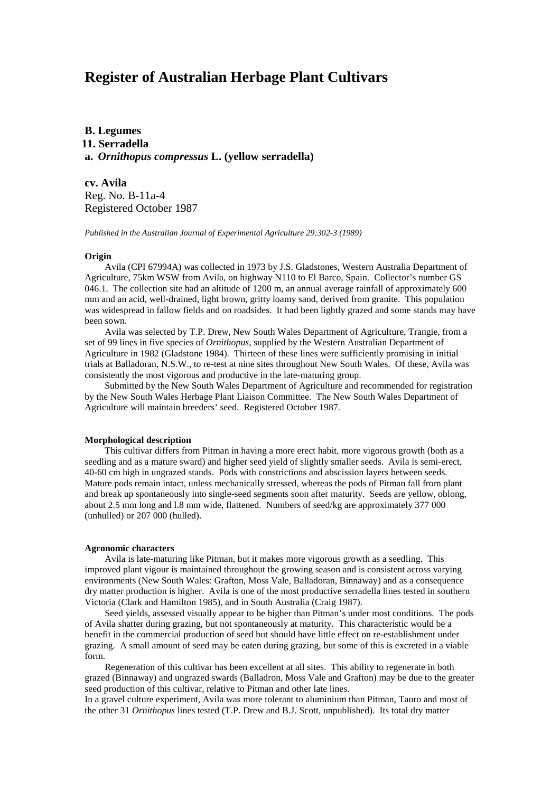# **Register of Australian Herbage Plant Cultivars**

**B. Legumes 11. Serradella a.** *Ornithopus compressus* **L. (yellow serradella)**

**cv. Avila** Reg. No. B-11a-4 Registered October 1987

*Published in the Australian Journal of Experimental Agriculture 29:302-3 (1989)*

### **Origin**

Avila (CPI 67994A) was collected in 1973 by J.S. Gladstones, Western Australia Department of Agriculture, 75km WSW from Avila, on highway N110 to El Barco, Spain. Collector's number GS 046.1. The collection site had an altitude of 1200 m, an annual average rainfall of approximately 600 mm and an acid, well-drained, light brown, gritty loamy sand, derived from granite. This population was widespread in fallow fields and on roadsides. It had been lightly grazed and some stands may have been sown.

Avila was selected by T.P. Drew, New South Wales Department of Agriculture, Trangie, from a set of 99 lines in five species of *Ornithopus*, supplied by the Western Australian Department of Agriculture in 1982 (Gladstone 1984). Thirteen of these lines were sufficiently promising in initial trials at Balladoran, N.S.W., to re-test at nine sites throughout New South Wales. Of these, Avila was consistently the most vigorous and productive in the late-maturing group.

Submitted by the New South Wales Department of Agriculture and recommended for registration by the New South Wales Herbage Plant Liaison Committee. The New South Wales Department of Agriculture will maintain breeders' seed. Registered October 1987.

#### **Morphological description**

This cultivar differs from Pitman in having a more erect habit, more vigorous growth (both as a seedling and as a mature sward) and higher seed yield of slightly smaller seeds. Avila is semi-erect, 40-60 cm high in ungrazed stands. Pods with constrictions and abscission layers between seeds. Mature pods remain intact, unless mechanically stressed, whereas the pods of Pitman fall from plant and break up spontaneously into single-seed segments soon after maturity. Seeds are yellow, oblong, about 2.5 mm long and l.8 mm wide, flattened. Numbers of seed/kg are approximately 377 000 (unhulled) or 207 000 (hulled).

#### **Agronomic characters**

Avila is late-maturing like Pitman, but it makes more vigorous growth as a seedling. This improved plant vigour is maintained throughout the growing season and is consistent across varying environments (New South Wales: Grafton, Moss Vale, Balladoran, Binnaway) and as a consequence dry matter production is higher. Avila is one of the most productive serradella lines tested in southern Victoria (Clark and Hamilton 1985), and in South Australia (Craig 1987).

Seed yields, assessed visually appear to be higher than Pitman's under most conditions. The pods of Avila shatter during grazing, but not spontaneously at maturity. This characteristic would be a benefit in the commercial production of seed but should have little effect on re-establishment under grazing. A small amount of seed may be eaten during grazing, but some of this is excreted in a viable form.

Regeneration of this cultivar has been excellent at all sites. This ability to regenerate in both grazed (Binnaway) and ungrazed swards (Balladron, Moss Vale and Grafton) may be due to the greater seed production of this cultivar, relative to Pitman and other late lines.

In a gravel culture experiment, Avila was more tolerant to aluminium than Pitman, Tauro and most of the other 31 *Ornithopus* lines tested (T.P. Drew and B.J. Scott, unpublished). Its total dry matter